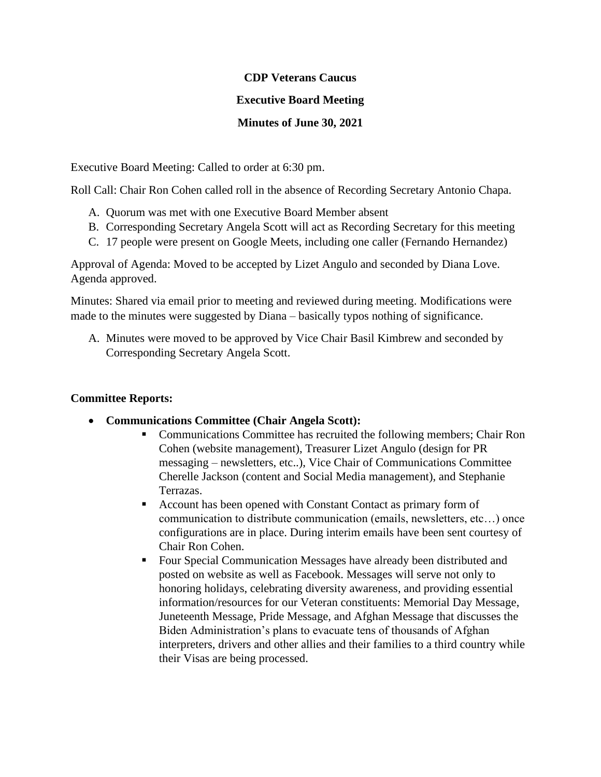#### **CDP Veterans Caucus**

### **Executive Board Meeting**

# **Minutes of June 30, 2021**

Executive Board Meeting: Called to order at 6:30 pm.

Roll Call: Chair Ron Cohen called roll in the absence of Recording Secretary Antonio Chapa.

- A. Quorum was met with one Executive Board Member absent
- B. Corresponding Secretary Angela Scott will act as Recording Secretary for this meeting
- C. 17 people were present on Google Meets, including one caller (Fernando Hernandez)

Approval of Agenda: Moved to be accepted by Lizet Angulo and seconded by Diana Love. Agenda approved.

Minutes: Shared via email prior to meeting and reviewed during meeting. Modifications were made to the minutes were suggested by Diana – basically typos nothing of significance.

A. Minutes were moved to be approved by Vice Chair Basil Kimbrew and seconded by Corresponding Secretary Angela Scott.

### **Committee Reports:**

- **Communications Committee (Chair Angela Scott):**
	- Communications Committee has recruited the following members; Chair Ron Cohen (website management), Treasurer Lizet Angulo (design for PR messaging – newsletters, etc..), Vice Chair of Communications Committee Cherelle Jackson (content and Social Media management), and Stephanie Terrazas.
	- Account has been opened with Constant Contact as primary form of communication to distribute communication (emails, newsletters, etc…) once configurations are in place. During interim emails have been sent courtesy of Chair Ron Cohen.
	- Four Special Communication Messages have already been distributed and posted on website as well as Facebook. Messages will serve not only to honoring holidays, celebrating diversity awareness, and providing essential information/resources for our Veteran constituents: Memorial Day Message, Juneteenth Message, Pride Message, and Afghan Message that discusses the Biden Administration's plans to evacuate tens of thousands of Afghan interpreters, drivers and other allies and their families to a third country while their Visas are being processed.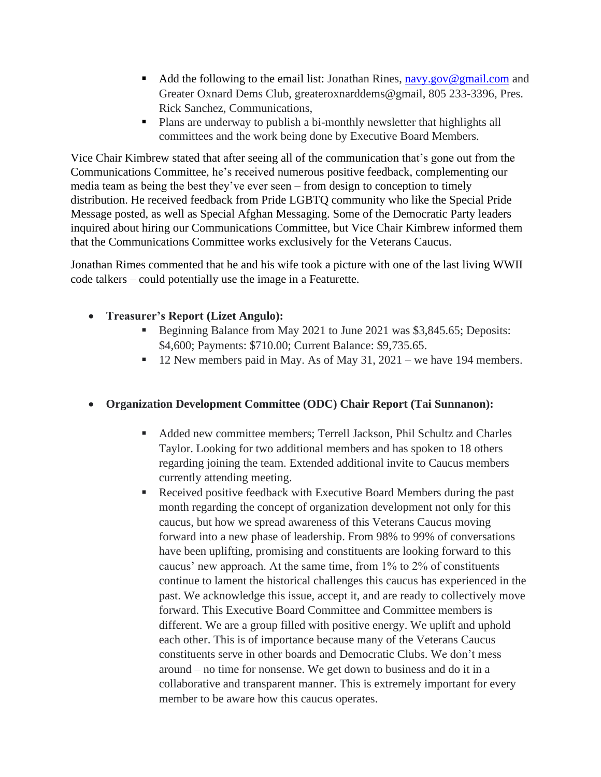- $\blacksquare$  Add the following to the email list: Jonathan Rines, [navy.gov@gmail.com](mailto:navy.gov@gmail.com) and Greater Oxnard Dems Club, greateroxnarddems@gmail, 805 233-3396, Pres. Rick Sanchez, Communications,
- Plans are underway to publish a bi-monthly newsletter that highlights all committees and the work being done by Executive Board Members.

Vice Chair Kimbrew stated that after seeing all of the communication that's gone out from the Communications Committee, he's received numerous positive feedback, complementing our media team as being the best they've ever seen – from design to conception to timely distribution. He received feedback from Pride LGBTQ community who like the Special Pride Message posted, as well as Special Afghan Messaging. Some of the Democratic Party leaders inquired about hiring our Communications Committee, but Vice Chair Kimbrew informed them that the Communications Committee works exclusively for the Veterans Caucus.

Jonathan Rimes commented that he and his wife took a picture with one of the last living WWII code talkers – could potentially use the image in a Featurette.

- **Treasurer's Report (Lizet Angulo):**
	- **•** Beginning Balance from May 2021 to June 2021 was \$3,845.65; Deposits: \$4,600; Payments: \$710.00; Current Balance: \$9,735.65.
	- 12 New members paid in May. As of May 31, 2021 we have 194 members.

### • **Organization Development Committee (ODC) Chair Report (Tai Sunnanon):**

- Added new committee members; Terrell Jackson, Phil Schultz and Charles Taylor. Looking for two additional members and has spoken to 18 others regarding joining the team. Extended additional invite to Caucus members currently attending meeting.
- Received positive feedback with Executive Board Members during the past month regarding the concept of organization development not only for this caucus, but how we spread awareness of this Veterans Caucus moving forward into a new phase of leadership. From 98% to 99% of conversations have been uplifting, promising and constituents are looking forward to this caucus' new approach. At the same time, from 1% to 2% of constituents continue to lament the historical challenges this caucus has experienced in the past. We acknowledge this issue, accept it, and are ready to collectively move forward. This Executive Board Committee and Committee members is different. We are a group filled with positive energy. We uplift and uphold each other. This is of importance because many of the Veterans Caucus constituents serve in other boards and Democratic Clubs. We don't mess around – no time for nonsense. We get down to business and do it in a collaborative and transparent manner. This is extremely important for every member to be aware how this caucus operates.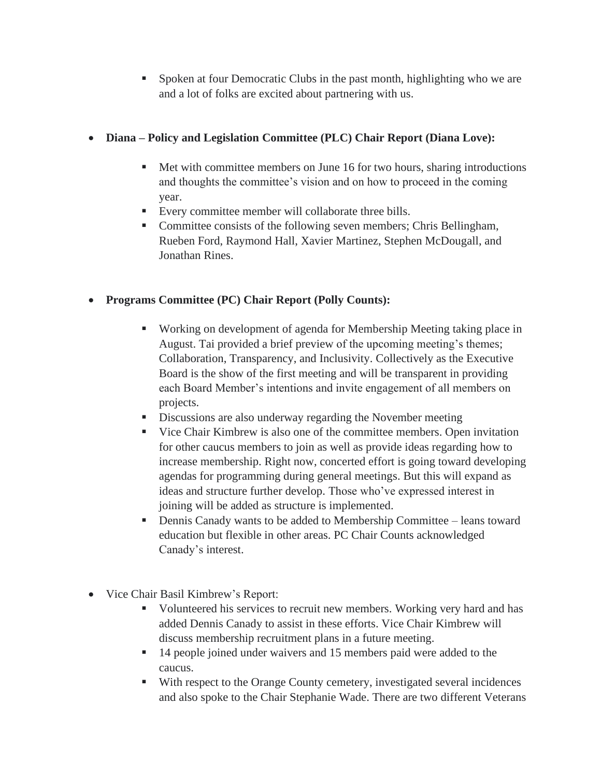▪ Spoken at four Democratic Clubs in the past month, highlighting who we are and a lot of folks are excited about partnering with us.

# • **Diana – Policy and Legislation Committee (PLC) Chair Report (Diana Love):**

- Met with committee members on June 16 for two hours, sharing introductions and thoughts the committee's vision and on how to proceed in the coming year.
- Every committee member will collaborate three bills.
- Committee consists of the following seven members; Chris Bellingham, Rueben Ford, Raymond Hall, Xavier Martinez, Stephen McDougall, and Jonathan Rines.

# • **Programs Committee (PC) Chair Report (Polly Counts):**

- Working on development of agenda for Membership Meeting taking place in August. Tai provided a brief preview of the upcoming meeting's themes; Collaboration, Transparency, and Inclusivity. Collectively as the Executive Board is the show of the first meeting and will be transparent in providing each Board Member's intentions and invite engagement of all members on projects.
- **EXECUTE:** Discussions are also underway regarding the November meeting
- Vice Chair Kimbrew is also one of the committee members. Open invitation for other caucus members to join as well as provide ideas regarding how to increase membership. Right now, concerted effort is going toward developing agendas for programming during general meetings. But this will expand as ideas and structure further develop. Those who've expressed interest in joining will be added as structure is implemented.
- Dennis Canady wants to be added to Membership Committee leans toward education but flexible in other areas. PC Chair Counts acknowledged Canady's interest.
- Vice Chair Basil Kimbrew's Report:
	- Volunteered his services to recruit new members. Working very hard and has added Dennis Canady to assist in these efforts. Vice Chair Kimbrew will discuss membership recruitment plans in a future meeting.
	- 14 people joined under waivers and 15 members paid were added to the caucus.
	- With respect to the Orange County cemetery, investigated several incidences and also spoke to the Chair Stephanie Wade. There are two different Veterans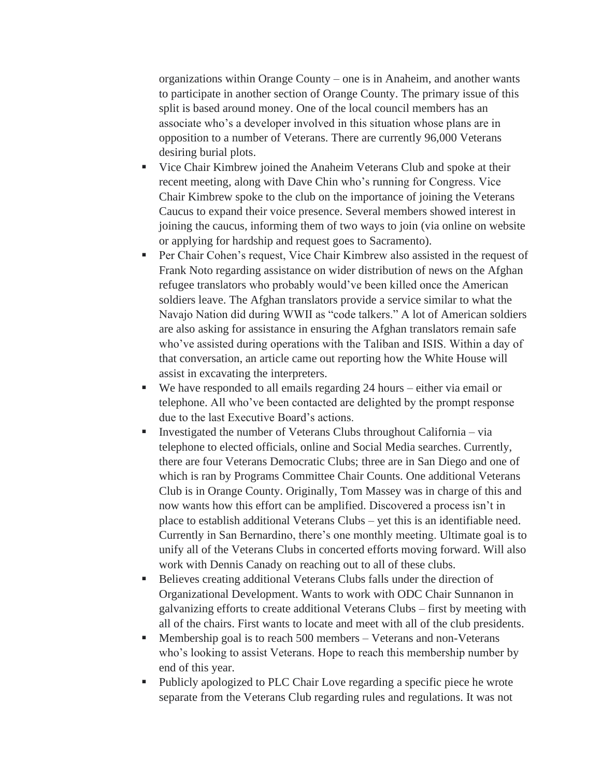organizations within Orange County – one is in Anaheim, and another wants to participate in another section of Orange County. The primary issue of this split is based around money. One of the local council members has an associate who's a developer involved in this situation whose plans are in opposition to a number of Veterans. There are currently 96,000 Veterans desiring burial plots.

- **•** Vice Chair Kimbrew joined the Anaheim Veterans Club and spoke at their recent meeting, along with Dave Chin who's running for Congress. Vice Chair Kimbrew spoke to the club on the importance of joining the Veterans Caucus to expand their voice presence. Several members showed interest in joining the caucus, informing them of two ways to join (via online on website or applying for hardship and request goes to Sacramento).
- Per Chair Cohen's request, Vice Chair Kimbrew also assisted in the request of Frank Noto regarding assistance on wider distribution of news on the Afghan refugee translators who probably would've been killed once the American soldiers leave. The Afghan translators provide a service similar to what the Navajo Nation did during WWII as "code talkers." A lot of American soldiers are also asking for assistance in ensuring the Afghan translators remain safe who've assisted during operations with the Taliban and ISIS. Within a day of that conversation, an article came out reporting how the White House will assist in excavating the interpreters.
- We have responded to all emails regarding 24 hours either via email or telephone. All who've been contacted are delighted by the prompt response due to the last Executive Board's actions.
- **•** Investigated the number of Veterans Clubs throughout California via telephone to elected officials, online and Social Media searches. Currently, there are four Veterans Democratic Clubs; three are in San Diego and one of which is ran by Programs Committee Chair Counts. One additional Veterans Club is in Orange County. Originally, Tom Massey was in charge of this and now wants how this effort can be amplified. Discovered a process isn't in place to establish additional Veterans Clubs – yet this is an identifiable need. Currently in San Bernardino, there's one monthly meeting. Ultimate goal is to unify all of the Veterans Clubs in concerted efforts moving forward. Will also work with Dennis Canady on reaching out to all of these clubs.
- Believes creating additional Veterans Clubs falls under the direction of Organizational Development. Wants to work with ODC Chair Sunnanon in galvanizing efforts to create additional Veterans Clubs – first by meeting with all of the chairs. First wants to locate and meet with all of the club presidents.
- Membership goal is to reach 500 members Veterans and non-Veterans who's looking to assist Veterans. Hope to reach this membership number by end of this year.
- Publicly apologized to PLC Chair Love regarding a specific piece he wrote separate from the Veterans Club regarding rules and regulations. It was not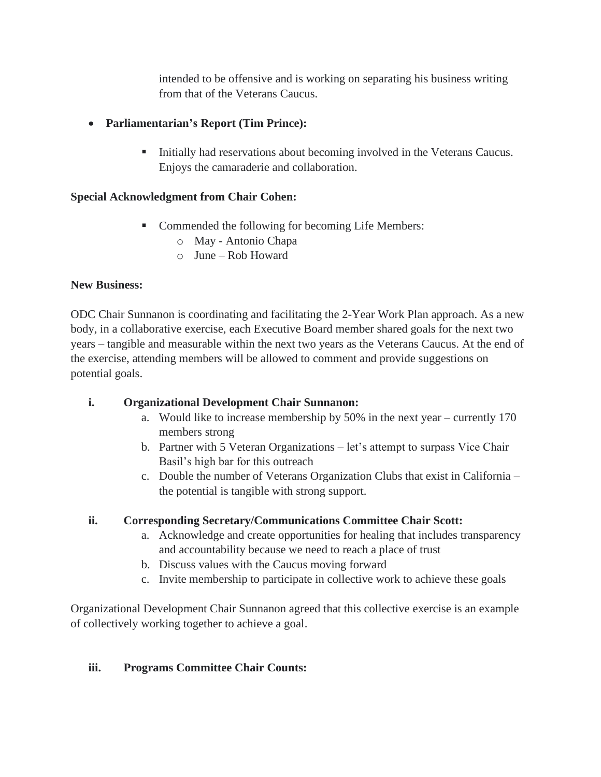intended to be offensive and is working on separating his business writing from that of the Veterans Caucus.

# • **Parliamentarian's Report (Tim Prince):**

**•** Initially had reservations about becoming involved in the Veterans Caucus. Enjoys the camaraderie and collaboration.

# **Special Acknowledgment from Chair Cohen:**

- Commended the following for becoming Life Members:
	- o May Antonio Chapa
	- o June Rob Howard

### **New Business:**

ODC Chair Sunnanon is coordinating and facilitating the 2-Year Work Plan approach. As a new body, in a collaborative exercise, each Executive Board member shared goals for the next two years – tangible and measurable within the next two years as the Veterans Caucus. At the end of the exercise, attending members will be allowed to comment and provide suggestions on potential goals.

### **i. Organizational Development Chair Sunnanon:**

- a. Would like to increase membership by 50% in the next year currently 170 members strong
- b. Partner with 5 Veteran Organizations let's attempt to surpass Vice Chair Basil's high bar for this outreach
- c. Double the number of Veterans Organization Clubs that exist in California the potential is tangible with strong support.

### **ii. Corresponding Secretary/Communications Committee Chair Scott:**

- a. Acknowledge and create opportunities for healing that includes transparency and accountability because we need to reach a place of trust
- b. Discuss values with the Caucus moving forward
- c. Invite membership to participate in collective work to achieve these goals

Organizational Development Chair Sunnanon agreed that this collective exercise is an example of collectively working together to achieve a goal.

### **iii. Programs Committee Chair Counts:**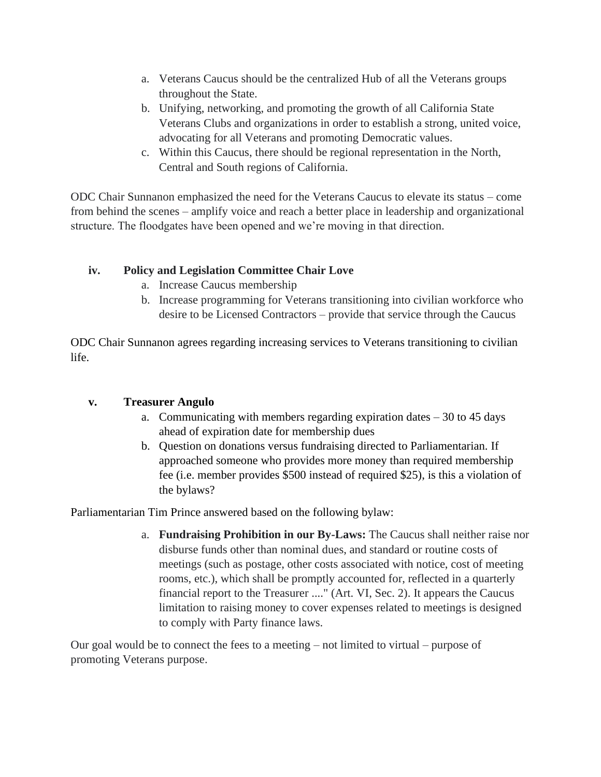- a. Veterans Caucus should be the centralized Hub of all the Veterans groups throughout the State.
- b. Unifying, networking, and promoting the growth of all California State Veterans Clubs and organizations in order to establish a strong, united voice, advocating for all Veterans and promoting Democratic values.
- c. Within this Caucus, there should be regional representation in the North, Central and South regions of California.

ODC Chair Sunnanon emphasized the need for the Veterans Caucus to elevate its status – come from behind the scenes – amplify voice and reach a better place in leadership and organizational structure. The floodgates have been opened and we're moving in that direction.

### **iv. Policy and Legislation Committee Chair Love**

- a. Increase Caucus membership
- b. Increase programming for Veterans transitioning into civilian workforce who desire to be Licensed Contractors – provide that service through the Caucus

ODC Chair Sunnanon agrees regarding increasing services to Veterans transitioning to civilian life.

### **v. Treasurer Angulo**

- a. Communicating with members regarding expiration dates 30 to 45 days ahead of expiration date for membership dues
- b. Question on donations versus fundraising directed to Parliamentarian. If approached someone who provides more money than required membership fee (i.e. member provides \$500 instead of required \$25), is this a violation of the bylaws?

Parliamentarian Tim Prince answered based on the following bylaw:

a. **Fundraising Prohibition in our By-Laws:** The Caucus shall neither raise nor disburse funds other than nominal dues, and standard or routine costs of meetings (such as postage, other costs associated with notice, cost of meeting rooms, etc.), which shall be promptly accounted for, reflected in a quarterly financial report to the Treasurer ...." (Art. VI, Sec. 2). It appears the Caucus limitation to raising money to cover expenses related to meetings is designed to comply with Party finance laws.

Our goal would be to connect the fees to a meeting – not limited to virtual – purpose of promoting Veterans purpose.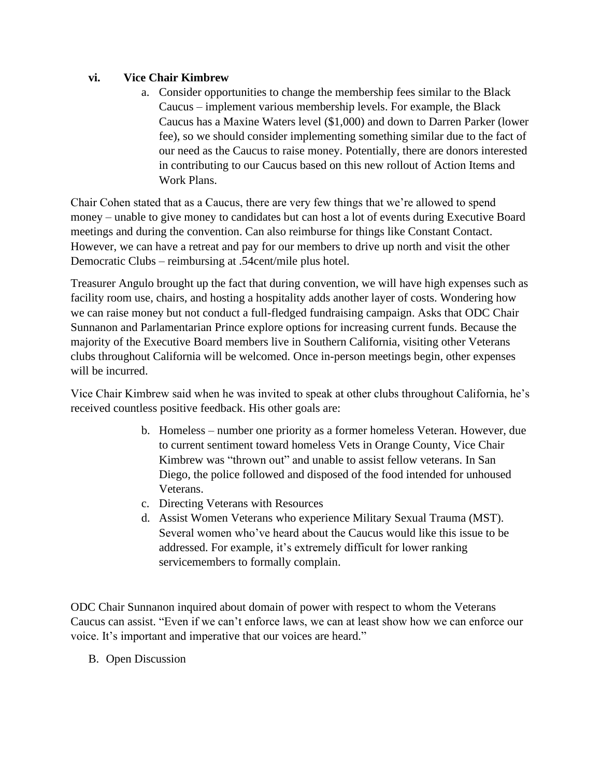### **vi. Vice Chair Kimbrew**

a. Consider opportunities to change the membership fees similar to the Black Caucus – implement various membership levels. For example, the Black Caucus has a Maxine Waters level (\$1,000) and down to Darren Parker (lower fee), so we should consider implementing something similar due to the fact of our need as the Caucus to raise money. Potentially, there are donors interested in contributing to our Caucus based on this new rollout of Action Items and Work Plans.

Chair Cohen stated that as a Caucus, there are very few things that we're allowed to spend money – unable to give money to candidates but can host a lot of events during Executive Board meetings and during the convention. Can also reimburse for things like Constant Contact. However, we can have a retreat and pay for our members to drive up north and visit the other Democratic Clubs – reimbursing at .54cent/mile plus hotel.

Treasurer Angulo brought up the fact that during convention, we will have high expenses such as facility room use, chairs, and hosting a hospitality adds another layer of costs. Wondering how we can raise money but not conduct a full-fledged fundraising campaign. Asks that ODC Chair Sunnanon and Parlamentarian Prince explore options for increasing current funds. Because the majority of the Executive Board members live in Southern California, visiting other Veterans clubs throughout California will be welcomed. Once in-person meetings begin, other expenses will be incurred.

Vice Chair Kimbrew said when he was invited to speak at other clubs throughout California, he's received countless positive feedback. His other goals are:

- b. Homeless number one priority as a former homeless Veteran. However, due to current sentiment toward homeless Vets in Orange County, Vice Chair Kimbrew was "thrown out" and unable to assist fellow veterans. In San Diego, the police followed and disposed of the food intended for unhoused Veterans.
- c. Directing Veterans with Resources
- d. Assist Women Veterans who experience Military Sexual Trauma (MST). Several women who've heard about the Caucus would like this issue to be addressed. For example, it's extremely difficult for lower ranking servicemembers to formally complain.

ODC Chair Sunnanon inquired about domain of power with respect to whom the Veterans Caucus can assist. "Even if we can't enforce laws, we can at least show how we can enforce our voice. It's important and imperative that our voices are heard."

B. Open Discussion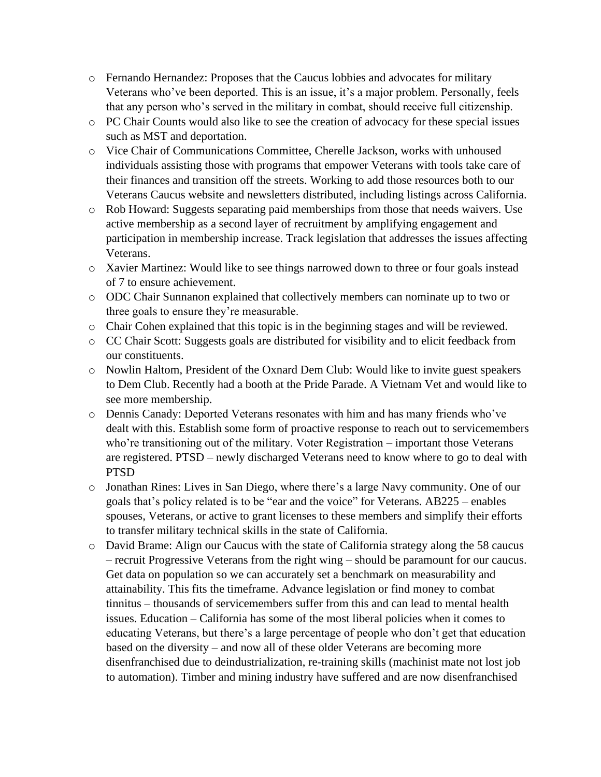- o Fernando Hernandez: Proposes that the Caucus lobbies and advocates for military Veterans who've been deported. This is an issue, it's a major problem. Personally, feels that any person who's served in the military in combat, should receive full citizenship.
- o PC Chair Counts would also like to see the creation of advocacy for these special issues such as MST and deportation.
- o Vice Chair of Communications Committee, Cherelle Jackson, works with unhoused individuals assisting those with programs that empower Veterans with tools take care of their finances and transition off the streets. Working to add those resources both to our Veterans Caucus website and newsletters distributed, including listings across California.
- o Rob Howard: Suggests separating paid memberships from those that needs waivers. Use active membership as a second layer of recruitment by amplifying engagement and participation in membership increase. Track legislation that addresses the issues affecting Veterans.
- o Xavier Martinez: Would like to see things narrowed down to three or four goals instead of 7 to ensure achievement.
- o ODC Chair Sunnanon explained that collectively members can nominate up to two or three goals to ensure they're measurable.
- o Chair Cohen explained that this topic is in the beginning stages and will be reviewed.
- o CC Chair Scott: Suggests goals are distributed for visibility and to elicit feedback from our constituents.
- o Nowlin Haltom, President of the Oxnard Dem Club: Would like to invite guest speakers to Dem Club. Recently had a booth at the Pride Parade. A Vietnam Vet and would like to see more membership.
- o Dennis Canady: Deported Veterans resonates with him and has many friends who've dealt with this. Establish some form of proactive response to reach out to servicemembers who're transitioning out of the military. Voter Registration – important those Veterans are registered. PTSD – newly discharged Veterans need to know where to go to deal with PTSD
- o Jonathan Rines: Lives in San Diego, where there's a large Navy community. One of our goals that's policy related is to be "ear and the voice" for Veterans. AB225 – enables spouses, Veterans, or active to grant licenses to these members and simplify their efforts to transfer military technical skills in the state of California.
- o David Brame: Align our Caucus with the state of California strategy along the 58 caucus – recruit Progressive Veterans from the right wing – should be paramount for our caucus. Get data on population so we can accurately set a benchmark on measurability and attainability. This fits the timeframe. Advance legislation or find money to combat tinnitus – thousands of servicemembers suffer from this and can lead to mental health issues. Education – California has some of the most liberal policies when it comes to educating Veterans, but there's a large percentage of people who don't get that education based on the diversity – and now all of these older Veterans are becoming more disenfranchised due to deindustrialization, re-training skills (machinist mate not lost job to automation). Timber and mining industry have suffered and are now disenfranchised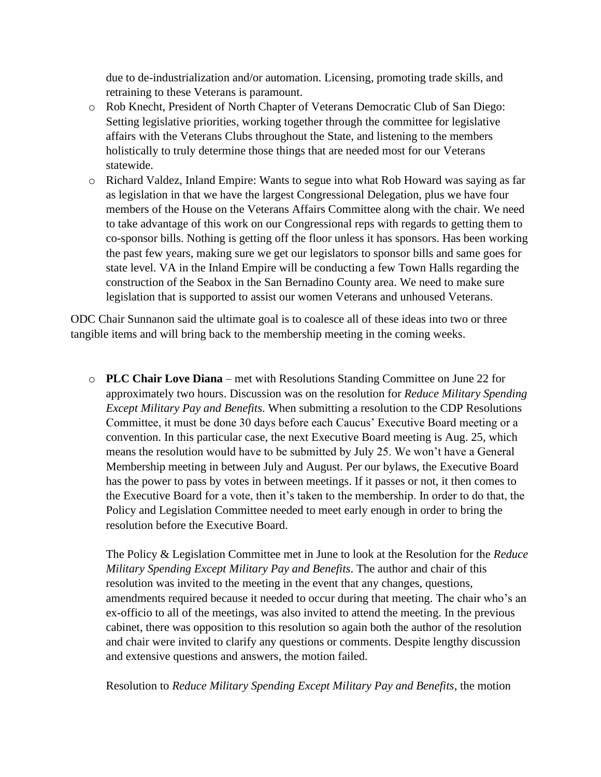due to de-industrialization and/or automation. Licensing, promoting trade skills, and retraining to these Veterans is paramount.

- o Rob Knecht, President of North Chapter of Veterans Democratic Club of San Diego: Setting legislative priorities, working together through the committee for legislative affairs with the Veterans Clubs throughout the State, and listening to the members holistically to truly determine those things that are needed most for our Veterans statewide.
- o Richard Valdez, Inland Empire: Wants to segue into what Rob Howard was saying as far as legislation in that we have the largest Congressional Delegation, plus we have four members of the House on the Veterans Affairs Committee along with the chair. We need to take advantage of this work on our Congressional reps with regards to getting them to co-sponsor bills. Nothing is getting off the floor unless it has sponsors. Has been working the past few years, making sure we get our legislators to sponsor bills and same goes for state level. VA in the Inland Empire will be conducting a few Town Halls regarding the construction of the Seabox in the San Bernadino County area. We need to make sure legislation that is supported to assist our women Veterans and unhoused Veterans.

ODC Chair Sunnanon said the ultimate goal is to coalesce all of these ideas into two or three tangible items and will bring back to the membership meeting in the coming weeks.

o **PLC Chair Love Diana** – met with Resolutions Standing Committee on June 22 for approximately two hours. Discussion was on the resolution for *Reduce Military Spending Except Military Pay and Benefits*. When submitting a resolution to the CDP Resolutions Committee, it must be done 30 days before each Caucus' Executive Board meeting or a convention. In this particular case, the next Executive Board meeting is Aug. 25, which means the resolution would have to be submitted by July 25. We won't have a General Membership meeting in between July and August. Per our bylaws, the Executive Board has the power to pass by votes in between meetings. If it passes or not, it then comes to the Executive Board for a vote, then it's taken to the membership. In order to do that, the Policy and Legislation Committee needed to meet early enough in order to bring the resolution before the Executive Board.

The Policy & Legislation Committee met in June to look at the Resolution for the *Reduce Military Spending Except Military Pay and Benefits*. The author and chair of this resolution was invited to the meeting in the event that any changes, questions, amendments required because it needed to occur during that meeting. The chair who's an ex-officio to all of the meetings, was also invited to attend the meeting. In the previous cabinet, there was opposition to this resolution so again both the author of the resolution and chair were invited to clarify any questions or comments. Despite lengthy discussion and extensive questions and answers, the motion failed.

Resolution to *Reduce Military Spending Except Military Pay and Benefits*, the motion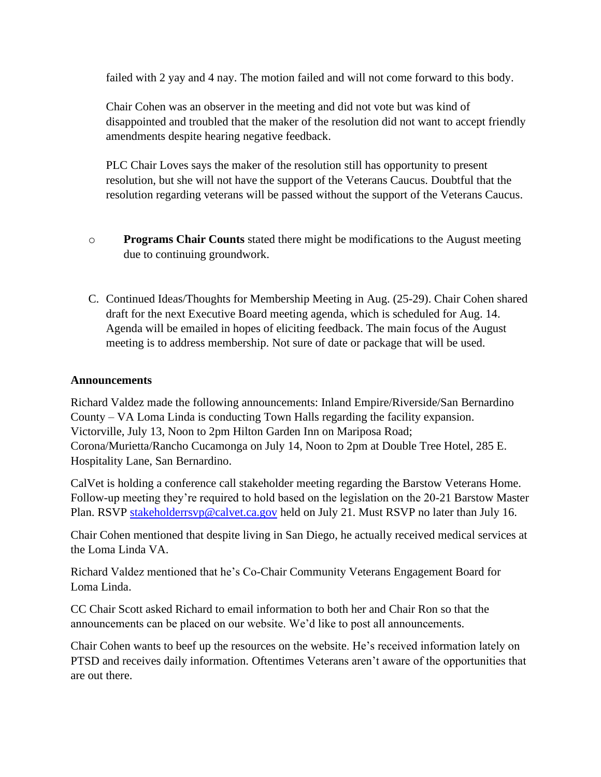failed with 2 yay and 4 nay. The motion failed and will not come forward to this body.

Chair Cohen was an observer in the meeting and did not vote but was kind of disappointed and troubled that the maker of the resolution did not want to accept friendly amendments despite hearing negative feedback.

PLC Chair Loves says the maker of the resolution still has opportunity to present resolution, but she will not have the support of the Veterans Caucus. Doubtful that the resolution regarding veterans will be passed without the support of the Veterans Caucus.

- o **Programs Chair Counts** stated there might be modifications to the August meeting due to continuing groundwork.
- C. Continued Ideas/Thoughts for Membership Meeting in Aug. (25-29). Chair Cohen shared draft for the next Executive Board meeting agenda, which is scheduled for Aug. 14. Agenda will be emailed in hopes of eliciting feedback. The main focus of the August meeting is to address membership. Not sure of date or package that will be used.

#### **Announcements**

Richard Valdez made the following announcements: Inland Empire/Riverside/San Bernardino County – VA Loma Linda is conducting Town Halls regarding the facility expansion. Victorville, July 13, Noon to 2pm Hilton Garden Inn on Mariposa Road; Corona/Murietta/Rancho Cucamonga on July 14, Noon to 2pm at Double Tree Hotel, 285 E. Hospitality Lane, San Bernardino.

CalVet is holding a conference call stakeholder meeting regarding the Barstow Veterans Home. Follow-up meeting they're required to hold based on the legislation on the 20-21 Barstow Master Plan. RSVP [stakeholderrsvp@calvet.ca.gov](mailto:stakeholderrsvp@calvet.ca.gov) held on July 21. Must RSVP no later than July 16.

Chair Cohen mentioned that despite living in San Diego, he actually received medical services at the Loma Linda VA.

Richard Valdez mentioned that he's Co-Chair Community Veterans Engagement Board for Loma Linda.

CC Chair Scott asked Richard to email information to both her and Chair Ron so that the announcements can be placed on our website. We'd like to post all announcements.

Chair Cohen wants to beef up the resources on the website. He's received information lately on PTSD and receives daily information. Oftentimes Veterans aren't aware of the opportunities that are out there.